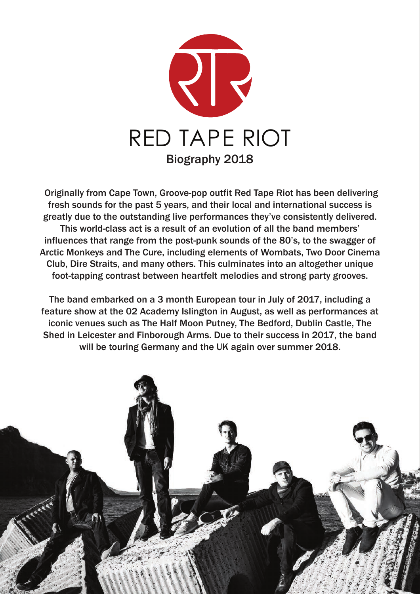

Originally from Cape Town, Groove-pop outfit Red Tape Riot has been delivering fresh sounds for the past 5 years, and their local and international success is greatly due to the outstanding live performances they've consistently delivered. This world-class act is a result of an evolution of all the band members' influences that range from the post-punk sounds of the 80's, to the swagger of Arctic Monkeys and The Cure, including elements of Wombats, Two Door Cinema Club, Dire Straits, and many others. This culminates into an altogether unique foot-tapping contrast between heartfelt melodies and strong party grooves.

The band embarked on a 3 month European tour in July of 2017, including a feature show at the 02 Academy Islington in August, as well as performances at iconic venues such as The Half Moon Putney, The Bedford, Dublin Castle, The Shed in Leicester and Finborough Arms. Due to their success in 2017, the band will be touring Germany and the UK again over summer 2018.

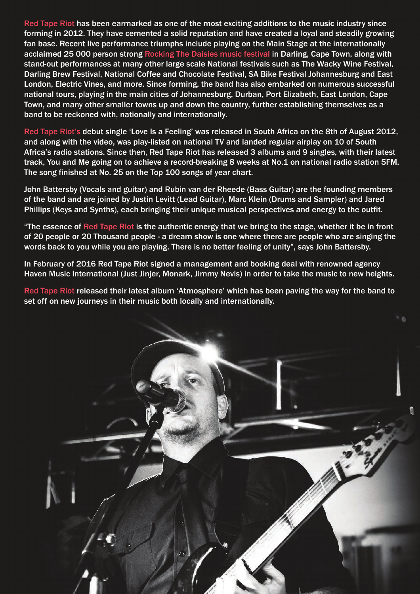Red Tape Riot has been earmarked as one of the most exciting additions to the music industry since forming in 2012. They have cemented a solid reputation and have created a loyal and steadily growing fan base. Recent live performance triumphs include playing on the Main Stage at the internationally acclaimed 25 000 person strong Rocking The Daisies music festival in Darling, Cape Town, along with stand-out performances at many other large scale National festivals such as The Wacky Wine Festival, Darling Brew Festival, National Coffee and Chocolate Festival, SA Bike Festival Johannesburg and East London, Electric Vines, and more. Since forming, the band has also embarked on numerous successful national tours, playing in the main cities of Johannesburg, Durban, Port Elizabeth, East London, Cape Town, and many other smaller towns up and down the country, further establishing themselves as a band to be reckoned with, nationally and internationally.

Red Tape Riot's debut single 'Love Is a Feeling' was released in South Africa on the 8th of August 2012, and along with the video, was play-listed on national TV and landed regular airplay on 10 of South Africa's radio stations. Since then, Red Tape Riot has released 3 albums and 9 singles, with their latest track, You and Me going on to achieve a record-breaking 8 weeks at No.1 on national radio station 5FM. The song finished at No. 25 on the Top 100 songs of year chart.

John Battersby (Vocals and guitar) and Rubin van der Rheede (Bass Guitar) are the founding members of the band and are joined by Justin Levitt (Lead Guitar), Marc Klein (Drums and Sampler) and Jared Phillips (Keys and Synths), each bringing their unique musical perspectives and energy to the outfit.

"The essence of Red Tape Riot is the authentic energy that we bring to the stage, whether it be in front of 20 people or 20 Thousand people - a dream show is one where there are people who are singing the words back to you while you are playing. There is no better feeling of unity", says John Battersby.

In February of 2016 Red Tape Riot signed a management and booking deal with renowned agency Haven Music International (Just Jinjer, Monark, Jimmy Nevis) in order to take the music to new heights.

Red Tape Riot released their latest album 'Atmosphere' which has been paving the way for the band to set off on new journeys in their music both locally and internationally.

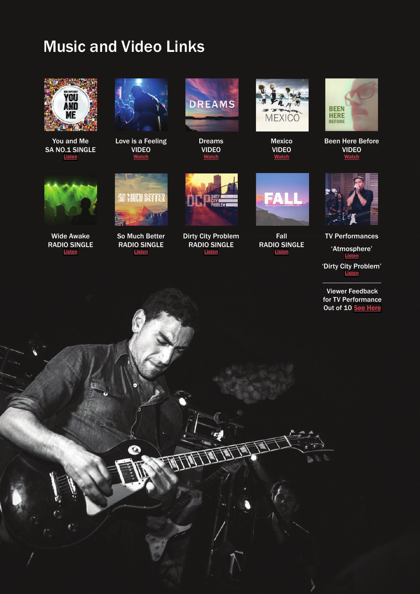## Music and Video Links



You and Me SA NO.1 SINGLE **[Listen](https://soundcloud.com/red-tape-riot/you-and-me)** 



Love is a Feeling VIDEO **Watch** 



Dreams VIDEO **Watch** 



Mexico VIDEO **Watch** 



Been Here Before VIDEO **Watch** 



Wide Awake RADIO SINGLE **[Listen](https://soundcloud.com/red-tape-riot/wide-awake)** 



So Much Better RADIO SINGLE [Listen](https://soundcloud.com/red-tape-riot/so-much-better)



Dirty City Problem RADIO SINGLE [Listen](https://soundcloud.com/red-tape-riot/dirty-city-problem)



Fall RADIO SINGLE **[Listen](https://soundcloud.com/red-tape-riot/fall)** 



TV Performances 'Atmosphere' [Listen](https://www.youtube.com/watch?v=bz_kqaPi9Yw) 'Dirty City Problem' **[Listen](https://www.facebook.com/expressoshow.sabc3/videos/2044161792265038/?hc_ref=ARTLtnOfuKtLB0PHTpnjMF-NHGkJifOy5lT5PqyPfcQwNlplgFN5AyvkUdymu_vIpZY&pnref=story)** 

Viewer Feedback for TV Performance Out of 10 [See Here](https://www.facebook.com/search/top/?q=Expresso%20Morning%20Show%20-%20SABC%203%20RED%20TAPE%20RIOT)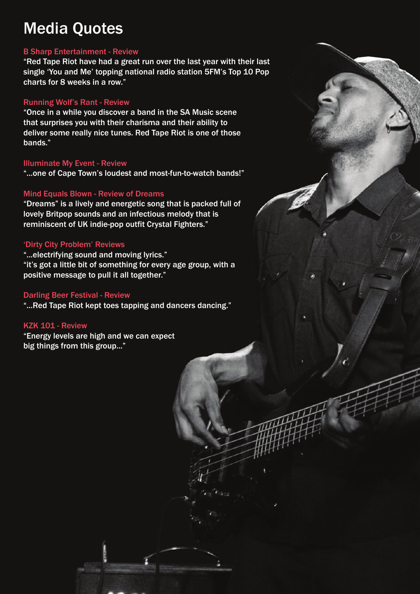# Media Quotes

#### B Sharp Entertainment - Review

"Red Tape Riot have had a great run over the last year with their last single 'You and Me' topping national radio station 5FM's Top 10 Pop charts for 8 weeks in a row."

#### Running Wolf's Rant - Review

"Once in a while you discover a band in the SA Music scene that surprises you with their charisma and their ability to deliver some really nice tunes. Red Tape Riot is one of those bands."

#### Illuminate My Event - Review

"...one of Cape Town's loudest and most-fun-to-watch bands!"

#### Mind Equals Blown - Review of Dreams

"Dreams" is a lively and energetic song that is packed full of lovely Britpop sounds and an infectious melody that is reminiscent of UK indie-pop outfit Crystal Fighters."

#### 'Dirty City Problem' Reviews

"...electrifying sound and moving lyrics." "it's got a little bit of something for every age group, with a positive message to pull it all together."

#### Darling Beer Festival - Review

"...Red Tape Riot kept toes tapping and dancers dancing."

#### KZK 101 - Review

"Energy levels are high and we can expect big things from this group..."